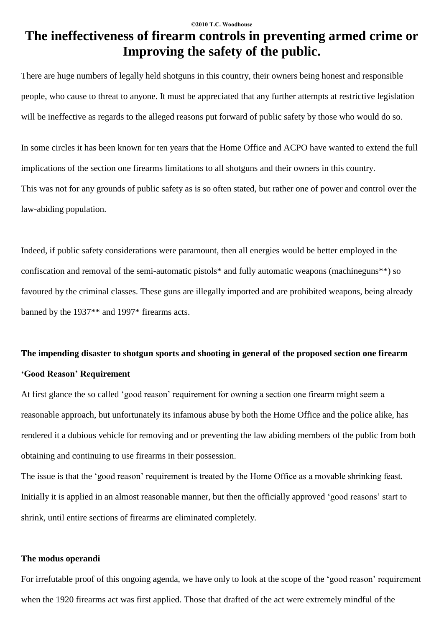# **The ineffectiveness of firearm controls in preventing armed crime or Improving the safety of the public.**

There are huge numbers of legally held shotguns in this country, their owners being honest and responsible people, who cause to threat to anyone. It must be appreciated that any further attempts at restrictive legislation will be ineffective as regards to the alleged reasons put forward of public safety by those who would do so.

In some circles ithas been known for ten years that the Home Office and ACPO have wanted to extend the full implications of the section one firearms limitations to all shotguns and their owners in this country. This was not for any grounds of public safety as is so often stated, but rather one of power and control over the law-abiding population.

Indeed, if public safety considerations were paramount, then all energies would be better employed in the confiscation and removal of the semi-automatic pistols\* and fully automatic weapons (machineguns\*\*) so favoured by the criminal classes. These guns are illegally imported and are prohibited weapons, being already banned by the 1937\*\* and 1997\* firearms acts.

# **The impending disaster to shotgun sports and shooting in general of the proposed section one firearm ëGood Reasoní Requirement**

At first glance the so called 'good reason' requirement for owning a section one firearm might seem a reasonable approach, but unfortunately its infamous abuse by both the Home Office and the police alike, has rendered it a dubious vehicle for removing and or preventing the law abiding members of the public from both obtaining and continuing to use firearms in their possession.

The issue is that the 'good reason' requirement is treated by the Home Office as a movable shrinking feast. Initially it is applied in an almost reasonable manner, but then the officially approved 'good reasons' start to shrink, until entire sections of firearms are eliminated completely.

# **The modus operandi**

For irrefutable proof of this ongoing agenda, we have only to look at the scope of the 'good reason' requirement when the 1920 firearms act was first applied. Those that drafted of the act were extremely mindful of the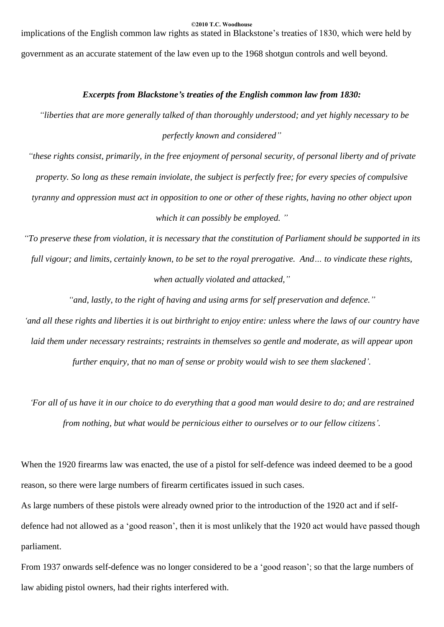implications of the English common law rights as stated in Blackstone's treaties of 1830, which were held by government as an accurate statement of the law even up to the 1968 shotgun controls and well beyond.

# *Excerpts from Blackstoneís treaties of the English common law from 1830:*

*ìliberties that are more generally talked of than thoroughly understood; and yet highly necessary to be perfectly known and consideredî*

"these rights consist, primarily, in the free enjoyment of personal security, of personal liberty and of private property. So long as these remain inviolate, the subject is perfectly free; for every species of compulsive tyranny and oppression must act in opposition to one or other of these rights, having no other object upon *which it can possibly be employed. î*

"To preserve these from violation, it is necessary that the constitution of Parliament should be supported in its full vigour; and limits, certainly known, to be set to the royal prerogative. And... to vindicate these rights, *when actually violated and attacked,î*

*ìand, lastly, to the right of having and using arms for self preservation and defence.î*

'and all these rights and liberties it is out birthright to enjoy entire: unless where the laws of our country have *laid them under necessary restraints; restraints in themselves so gentle and moderate, as will appear upon further enquiry, that no man of sense or probity would wish to see them slackenedí.*

'For all of us have it in our choice to do everything that a good man would desire to do; and are restrained *from nothing, but what would be pernicious either to ourselves or to our fellow citizensí.*

When the 1920 firearms law was enacted, the use of a pistol for self-defence was indeed deemed to be a good reason, so there were large numbers of firearm certificates issued in such cases.

As large numbers of these pistols were already owned prior to the introduction of the 1920 act and if self defence had not allowed as a 'good reason', then it is most unlikely that the 1920 act would have passed though parliament.

From 1937 onwards self-defence was no longer considered to be a 'good reason'; so that the large numbers of law abiding pistol owners, had their rights interfered with.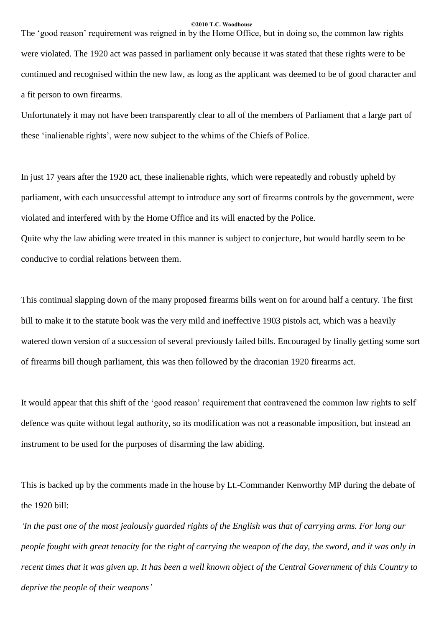The 'good reason' requirement was reigned in by the Home Office, but in doing so, the common law rights were violated. The 1920 act was passed in parliament only because it was stated that these rights were to be continued and recognised within the new law, as long as the applicant was deemed to be of good character and a fit person to own firearms.

Unfortunately it may not have been transparently clear to all of the members of Parliament that a large part of these 'inalienable rights', were now subject to the whims of the Chiefs of Police.

In just 17 years after the 1920 act, these inalienable rights, which were repeatedly and robustly upheld by parliament, with each unsuccessful attempt to introduce any sort of firearms controls by the government, were violated and interfered with by the Home Office and its will enacted by the Police.

Quite why the law abiding were treated in this manner is subject to conjecture, but would hardly seem to be conducive to cordial relations between them.

This continual slapping down of the many proposed firearms bills went on for around half a century. The first bill to make it to the statute book was the very mild and ineffective 1903 pistols act, which was a heavily watered down version of a succession of several previously failed bills. Encouraged by finally getting some sort of firearms bill though parliament, this was then followed by the draconian 1920 firearms act.

It would appear that this shift of the 'good reason' requirement that contravened the common law rights to self defence was quite without legal authority, so its modification was not a reasonable imposition, but instead an instrument to be used for the purposes of disarming the law abiding.

This is backed up by the comments made in the house by Lt.-Commander Kenworthy MP during the debate of the 1920 bill:

In the past one of the most jealously guarded rights of the English was that of carrying arms. For long our people fought with great tenacity for the right of carrying the weapon of the day, the sword, and it was only in recent times that it was given up. It has been a well known object of the Central Government of this Country to *deprive the people of their weaponsí*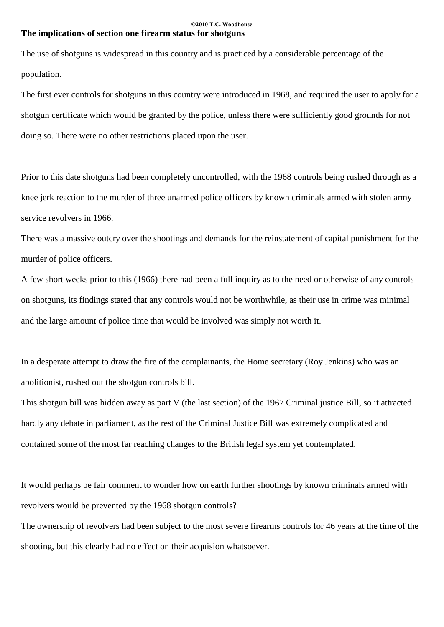## **©2010 T.C. Woodhouse The implications of section one firearm status for shotguns**

The use of shotguns is widespread in this country and is practiced by a considerable percentage of the population.

The first ever controls for shotguns in this country were introduced in 1968, and required the user to apply for a shotgun certificate which would be granted by the police, unless there were sufficiently good grounds for not doing so. There were no other restrictions placed upon the user.

Prior to this date shotguns had been completely uncontrolled, with the 1968 controls being rushed through as a knee jerk reaction to the murder of three unarmed police officers by known criminals armed with stolen army service revolvers in 1966.

There was a massive outcry over the shootings and demands for the reinstatement of capital punishment for the murder of police officers.

A few short weeks prior to this (1966) there had been a full inquiry as to the need or otherwise of any controls on shotguns, its findings stated that any controls would not be worthwhile, as their use in crime was minimal and the large amount of police time that would be involved was simply not worth it.

In a desperate attempt to draw the fire of the complainants, the Home secretary (Roy Jenkins) who was an abolitionist, rushed out the shotgun controls bill.

This shotgun bill was hidden away as part V (the last section) of the 1967 Criminal justice Bill, so it attracted hardly any debate in parliament, as the rest of the Criminal Justice Bill was extremely complicated and contained some of the most far reaching changes to the British legal system yet contemplated.

It would perhaps be fair comment to wonder how on earth further shootings by known criminals armed with revolvers would be prevented by the 1968 shotgun controls?

The ownership of revolvers had been subject to the most severe firearms controls for 46 years at the time of the shooting, but this clearly had no effect on their acquision whatsoever.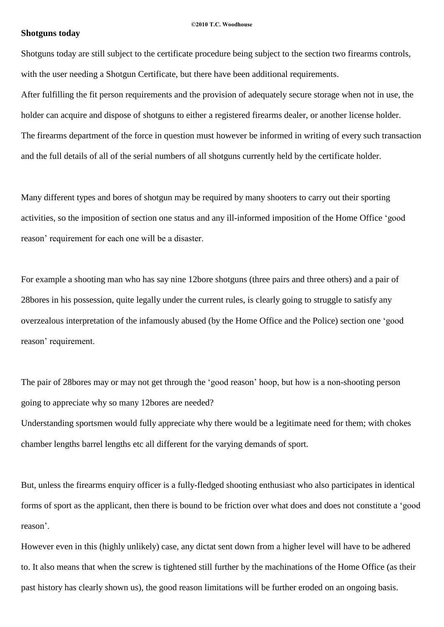## **Shotguns today**

Shotguns today are still subject to the certificate procedure being subject to the section two firearms controls, with the user needing a Shotgun Certificate, but there have been additional requirements.

After fulfilling the fit person requirements and the provision of adequately secure storage when not in use, the holder can acquire and dispose of shotguns to either a registered firearms dealer, or another license holder. The firearms department of the force in question must however be informed in writing of every such transaction and the full details of all of the serial numbers of all shotguns currently held by the certificate holder.

Many different types and bores of shotgun may be required by many shooters to carry out their sporting activities, so the imposition of section one status and any ill-informed imposition of the Home Office 'good reason' requirement for each one will be a disaster.

For example a shooting man who has say nine 12bore shotguns (three pairs and three others) and a pair of 28bores in his possession, quite legally under the current rules, is clearly going to struggle to satisfy any overzealous interpretation of the infamously abused (by the Home Office and the Police) section one ëgood reason' requirement.

The pair of 28bores may or may not get through the 'good reason' hoop, but how is a non-shooting person going to appreciate why so many 12bores are needed?

Understanding sportsmen would fully appreciate why there would be a legitimate need for them; with chokes chamber lengths barrel lengths etc all different for the varying demands of sport.

But, unless the firearms enquiry officer is a fully-fledged shooting enthusiast who also participates in identical forms of sport as the applicant, then there is bound to be friction over what does and does not constitute a 'good reason<sup>'</sup>.

However even in this (highly unlikely) case, any dictat sent down from a higher level will have to be adhered to. It also means that when the screw is tightened still further by the machinations of the Home Office (as their past history has clearly shown us), the good reason limitations will be further eroded on an ongoing basis.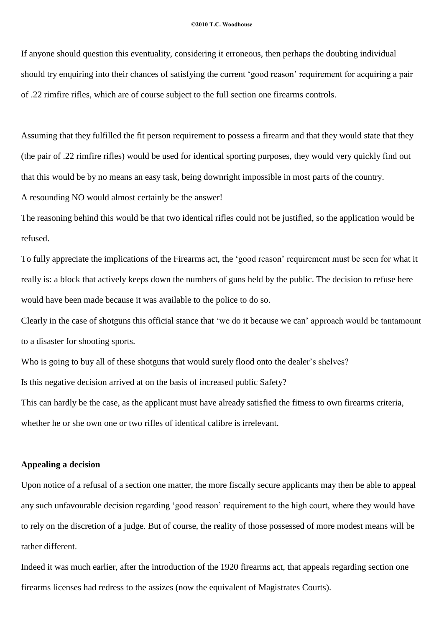If anyone should question this eventuality, considering it erroneous, then perhaps the doubting individual should try enquiring into their chances of satisfying the current 'good reason' requirement for acquiring a pair of .22 rimfire rifles, which are of course subject to the full section one firearms controls.

Assuming that they fulfilled the fit person requirement to possess a firearm and that they would state that they (the pair of .22 rimfire rifles) would be used for identical sporting purposes, they would very quickly find out that this would be by no means an easy task, being downright impossible in most parts of the country. A resounding NO would almost certainly be the answer!

The reasoning behind this would be that two identical rifles could not be justified, so the application would be refused.

To fully appreciate the implications of the Firearms act, the 'good reason' requirement must be seen for what it really is: a block that actively keeps down the numbers of guns held by the public. The decision to refuse here would have been made because it was available to the police to do so.

Clearly in the case of shotguns this official stance that 'we do it because we can' approach would be tantamount to a disaster for shooting sports.

Who is going to buy all of these shotguns that would surely flood onto the dealer's shelves?

Is this negative decision arrived at on the basis of increased public Safety?

This can hardly be the case, as the applicant must have already satisfied the fitness to own firearms criteria, whether he or she own one or two rifles of identical calibre is irrelevant.

# **Appealing a decision**

Upon notice of a refusal of a section one matter, the more fiscally secure applicants may then be able to appeal any such unfavourable decision regarding 'good reason' requirement to the high court, where they would have to rely on the discretion of a judge. But of course, the reality of those possessed of more modest means will be rather different.

Indeed it was much earlier, after the introduction of the 1920 firearms act, that appeals regarding section one firearms licenses had redress to the assizes (now the equivalent of Magistrates Courts).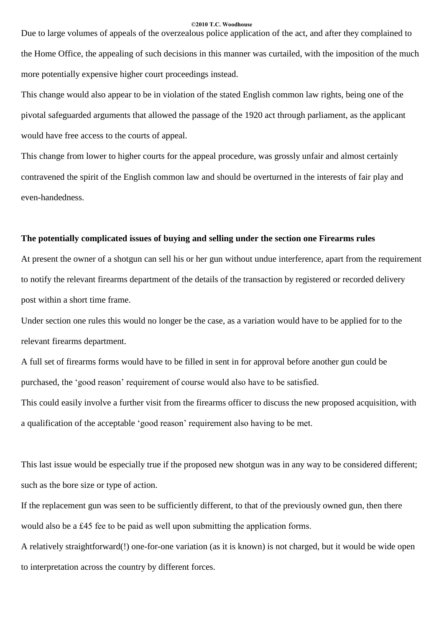Due to large volumes of appeals of the overzealous police application of the act, and after they complained to the Home Office, the appealing of such decisions in this manner was curtailed, with the imposition of the much more potentially expensive higher court proceedings instead.

This change would also appear to be in violation of the stated English common law rights, being one of the pivotal safeguarded arguments that allowed the passage of the 1920 act through parliament, as the applicant would have free access to the courts of appeal.

This change from lower to higher courts for the appeal procedure, was grossly unfair and almost certainly contravened the spirit of the English common law and should be overturned in the interests of fair play and even-handedness.

# **The potentially complicated issues of buying and selling under the section one Firearms rules**

At present the owner of a shotgun can sell his or her gun without undue interference, apart from the requirement to notify the relevant firearms department of the details of the transaction by registered or recorded delivery post within a short time frame.

Under section one rules this would no longer be the case, as a variation would have to be applied for to the relevant firearms department.

A full set of firearms forms would have to be filled in sent in for approval before another gun could be purchased, the 'good reason' requirement of course would also have to be satisfied. This could easily involve a further visit from the firearms officer to discuss the new proposed acquisition, with a qualification of the acceptable 'good reason' requirement also having to be met.

This last issue would be especially true if the proposed new shotgun was in any way to be considered different; such as the bore size or type of action.

If the replacement gun was seen to be sufficiently different, to that of the previously owned gun, then there would also be a £45 fee to be paid as well upon submitting the application forms.

A relatively straightforward(!) one-for-one variation (as it is known) is not charged, but it would be wide open to interpretation across the country by different forces.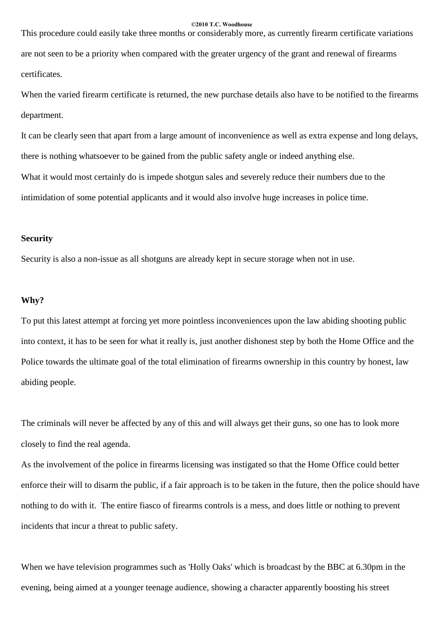This procedure could easily take three months or considerably more, as currently firearm certificate variations are not seen to be a priority when compared with the greater urgency of the grant and renewal of firearms certificates.

When the varied firearm certificate is returned, the new purchase details also have to be notified to the firearms department.

It can be clearly seen that apart from a large amount of inconvenience as well as extra expense and long delays, there is nothing whatsoever to be gained from the public safety angle or indeed anything else. What it would most certainly do is impede shotgun sales and severely reduce their numbers due to the intimidation of some potential applicants and it would also involve huge increases in police time.

# **Security**

Security is also a non-issue as all shotguns are already kept in secure storage when not in use.

## **Why?**

To put this latest attempt at forcing yet more pointless inconveniences upon the law abiding shooting public into context, it has to be seen for what it really is, just another dishonest step by both the Home Office and the Police towards the ultimate goal of the total elimination of firearms ownership in this country by honest, law abiding people.

The criminals will never be affected by any of this and will always get their guns, so one has to look more closely to find the real agenda.

As the involvement of the police in firearms licensing was instigated so that the Home Office could better enforce their will to disarm the public, if a fair approach is to be taken in the future, then the police should have nothing to do with it. The entire fiasco of firearms controls is a mess, and does little or nothing to prevent incidents that incur a threat to public safety.

When we have television programmes such as 'Holly Oaks' which is broadcast by the BBC at 6.30pm in the evening, being aimed at a younger teenage audience, showing a character apparently boosting his street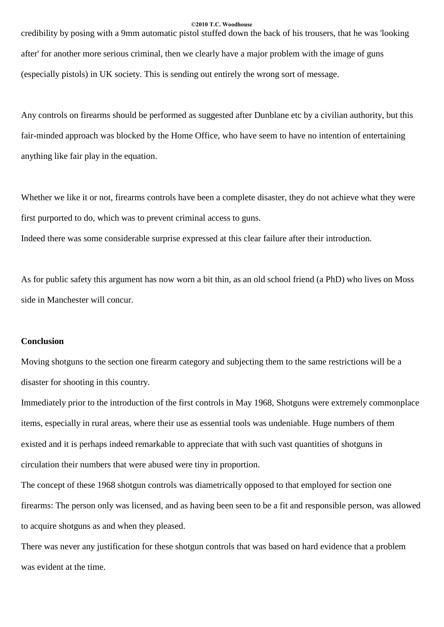credibility by posing with a 9mm automatic pistol stuffed down the back of his trousers, that he was 'looking after' for another more serious criminal, then we clearly have a major problem with the image of guns (especially pistols) in UK society. This is sending out entirely the wrong sort of message.

Any controls on firearms should be performed as suggested after Dunblane etc by a civilian authority, but this fair-minded approach was blocked by the Home Office, who have seem to have no intention of entertaining anything like fair play in the equation.

Whether we like it or not, firearms controls have been a complete disaster, they do not achieve what they were first purported to do, which was to prevent criminal access to guns.

Indeed there was some considerable surprise expressed at this clear failure after their introduction.

As for public safety this argument has now worn a bit thin, as an old school friend (a PhD) who lives on Moss side in Manchester will concur.

# **Conclusion**

Moving shotguns to the section one firearm category and subjecting them to the same restrictions will be a disaster for shooting in this country.

Immediately prior to the introduction of the first controls in May 1968, Shotguns were extremely commonplace items, especially in rural areas, where their use as essential tools was undeniable. Huge numbers of them existed and it is perhaps indeed remarkable to appreciate that with such vast quantities of shotguns in circulation their numbers that were abused were tiny in proportion.

The concept of these 1968 shotgun controls was diametrically opposed to that employed for section one firearms: The person only was licensed, and as having been seen to be a fit and responsible person, was allowed to acquire shotguns as and when they pleased.

There was never any justification for these shotgun controls that was based on hard evidence that a problem was evident at the time.